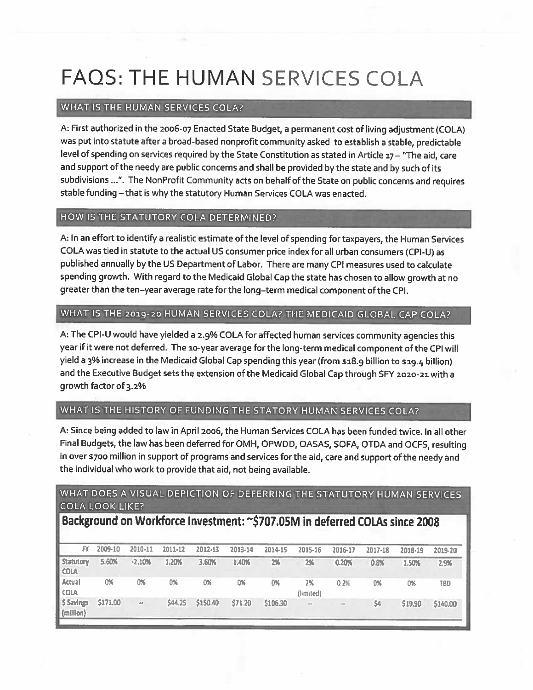# FAQS: THE HUMAN SERVICES COLA

## WHAT IS THE HUMAN SERVICES COLA?

A: First authorized in the 2006-07 Enacted State Budget, <sup>a</sup> permanen<sup>t</sup> cost of living adjustment (COLA) was pu<sup>t</sup> into statute after <sup>a</sup> broad-based nonprofit community asked to establish <sup>a</sup> stable, predictable level of spending on services required by the State Constitution as stated in Article  $17 -$  "The aid, care and suppor<sup>t</sup> of the needy are public concerns and shall be provided by the state and by such of its subdivisions . The NonProfit Community acts on behalf of the State on public concerns and requires stable funding — that is why the statutory Human Services COLA was enacted.

## HOW IS THE STATUTORY COLA DETERMINED?

A: In an effort to identify <sup>a</sup> realistic estimate of the level of spending for taxpayers, the Human Services COLA was tied in statute to the actual US consumer price index for all urban consumers (CPI-U) as published annually by the US Department of Labor. There are many CPI measures used to calculate spending growth. With regar<sup>d</sup> to the Medicaid Global Cap the state has chosen to allow growth at no greater than the ten—year average rate for the long—term medical componen<sup>t</sup> of the CPI.

## WHAT IS THE 2019-20 HUMAN SERVICES COLA? THE MEDICAID GLOBAL CAP COLA?

A: The CPI-U would have <sup>y</sup>ielded <sup>a</sup> 2.9% COLA for affected human services community agencies this year if it were not deferred. The 10-year average for the long-term medical componen<sup>t</sup> of the CPI will <sup>y</sup>ield <sup>a</sup> 3% increase in the Medicaid Global Cap spending this year (from \$18.9 billion to \$19.4 billion) and the Executive Budget sets the extension of the Medicaid Global Cap through SFY 2020-21 with a growth factor of 3.2%

## WHAT IS THE HISTORY OF FUNDING THE STATORY HUMAN SERVICES COLA?

A: Since being added to law in April 2006, the Human Services COLA has been funded twice. In all other Final Budgets, the law has been deferred for OMH, OPWDD, OASAS, SOFA, OTDA and OCFS, resulting in over \$700 million in suppor<sup>t</sup> of programs and services for the aid, care and suppor<sup>t</sup> of the needy and the individual who work to provide that aid, not being available.

## WHAT DOES A VISUAL DEPICTION OF DEFERRING THE STATUTORY HUMAN SERVICES COLA LOOK LIKE?

## Background on Workforce Investment: ~\$707.05M in deferred COLAs since 2008

| FY.                             | 2009-10  | 2010-11       | 2011-12 | 2012-13  | 2013-14 | 2014-15  | 2015-16         | 2016-17          | 2017-18 | 2018-19 | 2019-20    |
|---------------------------------|----------|---------------|---------|----------|---------|----------|-----------------|------------------|---------|---------|------------|
| <b>Statutory</b><br><b>COLA</b> | 5.60%    | $-2.10%$      | 1.20%   | 3.60%    | 1.40%   | 2%       | 2%              | 0.20%            | 0.8%    | 1.50%   | 2.9%       |
| Actual<br><b>COLA</b>           | 0%       | 0%            | 0%      | 0%       | 0%      | 0%       | 2%<br>(limited) | 0.2%             | 0%      | 0%      | <b>TBD</b> |
| \$ Savings<br>(milllon)         | \$171.00 | $_{\rm{res}}$ | \$44.25 | \$150.40 | \$71.20 | \$106.30 | <b>Ad</b>       | - 93<br>$\omega$ | \$4     | \$19.90 | \$140.00   |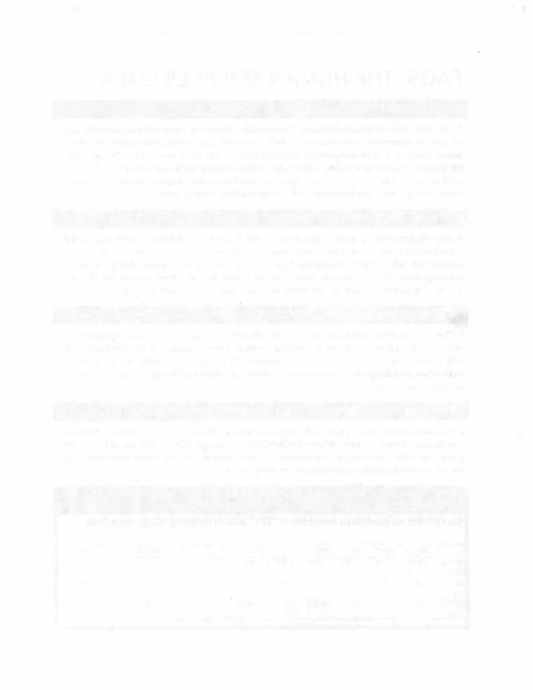action of any comparative control of seats. The control and a president self-strips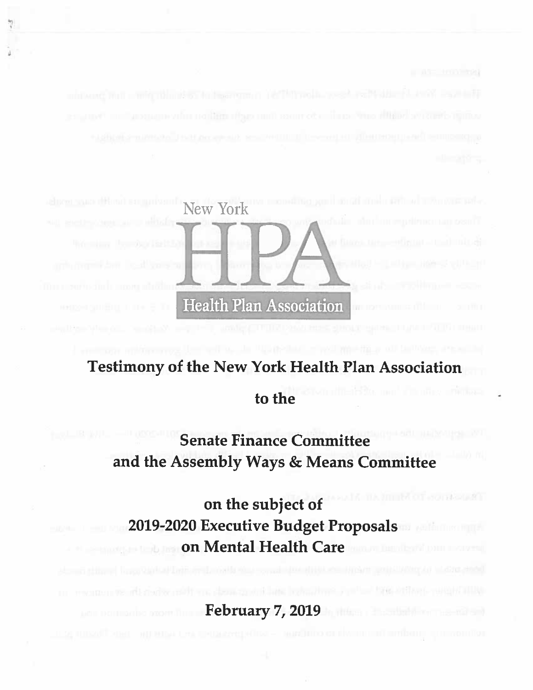

## Testimony of the New York Health Plan Association

## to the

## Senate Finance Committee and the Assembly Ways & Means Committee

IN OTHOL HOUSE on the subject of 2019-2020 Executive Budget Proposals **Example 1 On Mental Health Care** 

February 7, 2019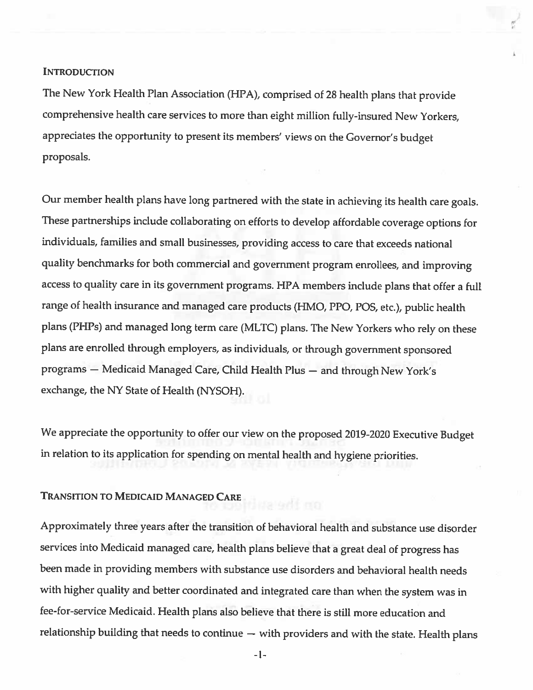### **INTRODUCTION**

The New York Health Plan Association (HPA), comprised of <sup>28</sup> health <sup>p</sup>lans that provide comprehensive health care services to more than eight million fully-insured New Yorkers, appreciates the opportunity to present its members' views on the Governor's budget proposals.

Our member health <sup>p</sup>lans have long partnered with the state in achieving its health care goals. These partnerships include collaborating on efforts to develop affordable coverage options for individuals, families and small businesses, providing access to care that exceeds national quality benchmarks for both commercial and government program enrollees, and improving access to quality care in its government programs. HPA members include plans that offer a full range of health insurance and managed care products (HMO, PPO, POS, etc.), public health <sup>p</sup>lans (PHPs) and managed long term care (MLTC) <sup>p</sup>lans. The New Yorkers who rely on these <sup>p</sup>lans are enrolled through employers, as individuals, or through government sponsored programs — Medicaid Managed Care, Child Health Plus — and through New York's exchange, the NY State of Health (NYSOH).

We appreciate the opportunity to offer our view on the proposed 2019-2020 Executive Budget in relation to its application for spending on mental health and hygiene priorities.

adit ma

## TRANSITION TO MEDICAID MANAGED CARE

Approximately three years after the transition of behavioral health and substance use disorder services into Medicaid managed care, health <sup>p</sup>lans believe that <sup>a</sup> great deal of progress has been made in providing members with substance use disorders and behavioral health needs with higher quality and better coordinated and integrated care than when the system was in fee-for-service Medicaid. Health plans also believe that there is still more education and relationship building that needs to continue — with providers and with the state. Health <sup>p</sup>lans

 $-1-$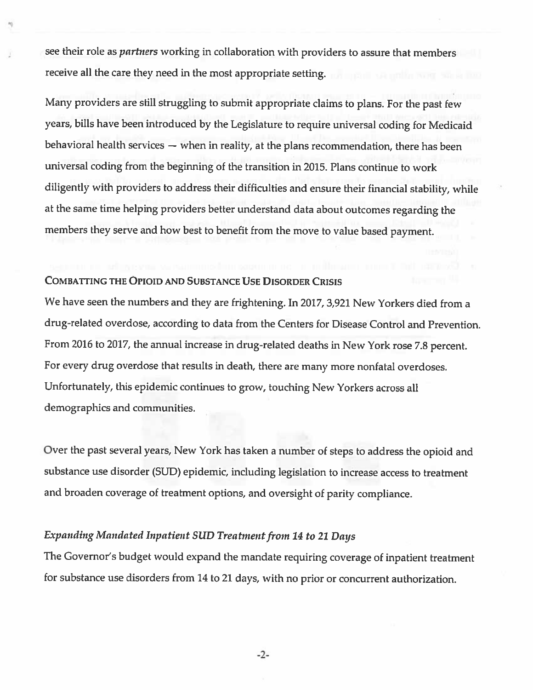see their role as *partners* working in collaboration with providers to assure that members receive all the care they need in the most appropriate setting.

Many providers are still struggling to submit appropriate claims to <sup>p</sup>lans. For the past few years, bills have been introduced by the Legislature to require universal coding for Medicaid behavioral health services — when in reality, at the <sup>p</sup>lans recommendation, there has been universal coding from the beginning of the transition in 2015. Plans continue to work diligently with providers to address their difficulties and ensure their financial stability, while at the same time helping providers better understand data about outcomes regarding the members they serve and how best to benefit from the move to value based payment.

## COMBATTING THE OPIOID AND SUBSTANCE USE DISORDER CRISIS

We have seen the numbers and they are frightening. In 2017, 3,921 New Yorkers died from <sup>a</sup> drug-related overdose, according to data from the Centers for Disease Control and Prevention. From <sup>2016</sup> to 2017, the annual increase in drug-related deaths in New York rose 7.8 percent. For every drug overdose that results in death, there are many more nonfatal overdoses. Unfortunately, this epidemic continues to grow, touching New Yorkers across all demographics and communities.

Over the past several years, New York has taken <sup>a</sup> number of steps to address the opioid and substance use disorder (SUD) epidemic, including legislation to increase access to treatment and broaden coverage of treatment options, and oversight of parity compliance.

## Expanding Mandated Inpatient SUD Treatment from 14 to 21 Days

The Governor's budget would expand the mandate requiring coverage of inpatient treatment for substance use disorders from <sup>14</sup> to <sup>21</sup> days, with no prior or concurrent authorization.

-2-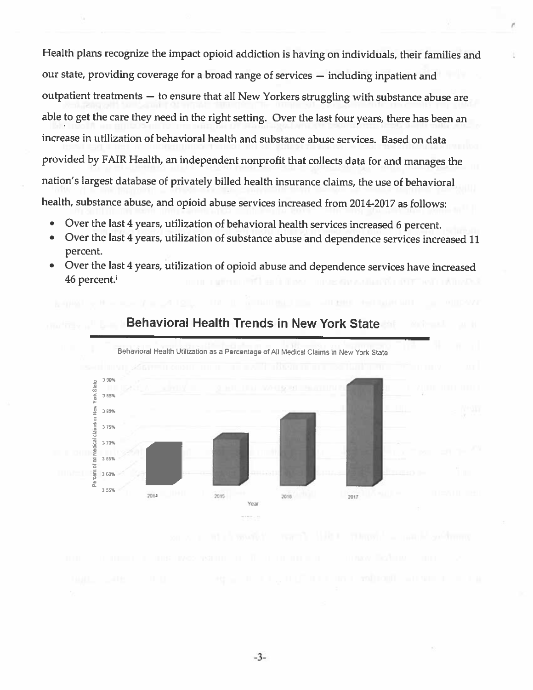Health plans recognize the impact opioid addiction is having on individuals, their families and our state, providing coverage for a broad range of services - including inpatient and outpatient treatments - to ensure that all New Yorkers struggling with substance abuse are able to get the care they need in the right setting. Over the last four years, there has been an increase in utilization of behavioral health and substance abuse services. Based on data provided by FAIR Health, an independent nonprofit that collects data for and manages the nation's largest database of privately billed health insurance claims, the use of behavioral health, substance abuse, and opioid abuse services increased from 2014-2017 as follows:

- Over the last 4 years, utilization of behavioral health services increased 6 percent.
- Over the last 4 years, utilization of substance abuse and dependence services increased 11  $\bullet$ percent.
- Over the last 4 years, utilization of opioid abuse and dependence services have increased ۰ 46 percent.<sup>i</sup>



## **Behavioral Health Trends in New York State**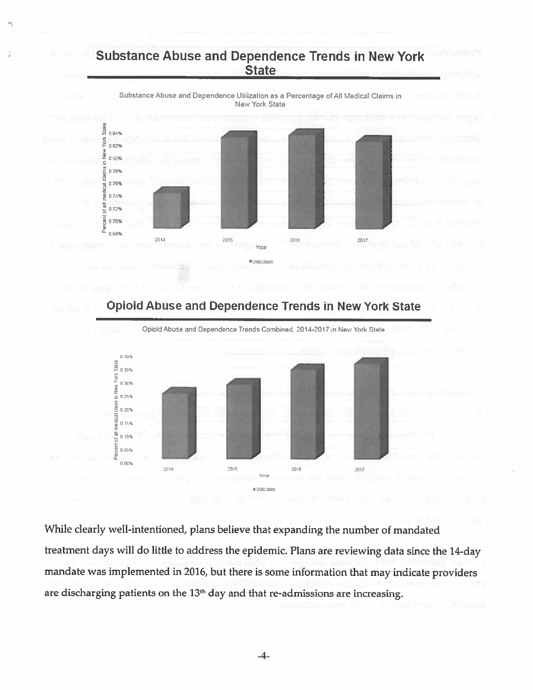## Substance Abuse and Dependence Trends in New York **State**



Opiold Abuse and Dependence Trends in New York State Opioid Abuse and Dependence Trends Combined, 2014-2017 in New York State 040% **York State** 035% 030%  $\frac{2}{5}$  0.30%<br> $\frac{1}{5}$  0.25% veducal clain 020% 0 15% of all 0 10%  $\frac{5}{2}$  o  $05\%$ 8 0-11 20 12 20 20 21 22 23 24 25 26 27 28 29 20 21 22 23 24 25 26 27 28 29 20 21 22 23 24 25 26 27 27 27 27 2 0.00% 2014 2045 2016 2017 Yes • J1J1t30a1

While clearly well-intentioned, <sup>p</sup>lans believe that expanding the number of mandated treatment days will do little to address the epidemic. Plans are reviewing data since the 14-day mandate was implemented in 2016, but there is some information that may indicate providers are discharging patients on the 13<sup>th</sup> day and that re-admissions are increasing.

-4-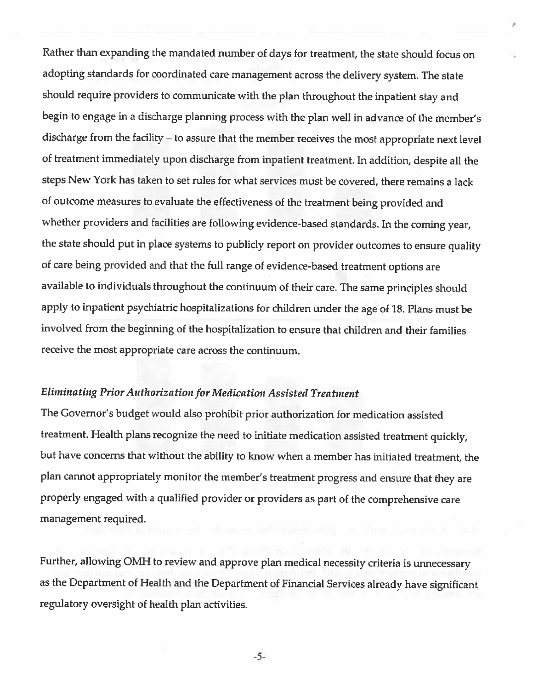Rather than expanding the mandated number of days for treatment, the state should focus on adopting standards for coordinated care management across the delivery system. The state should require providers to communicate with the <sup>p</sup>lan throughout the inpatient stay and begin to engage in <sup>a</sup> discharge <sup>p</sup>lanning process with the <sup>p</sup>lan well in advance of the member's discharge from the facility — to assure that the member receives the most appropriate next level of treatment immediately upon discharge from inpatient treatment. In addition, despite all the steps New York has taken to set rules for what services must be covered, there remains <sup>a</sup> lack of outcome measures to evaluate the effectiveness of the treatment being provided and whether providers and facilities are following evidence-based standards. In the coming year, the state should put in <sup>p</sup>lace systems to publicly report on provider outcomes to ensure quality' of care being provided and that the full range of evidence-based treatment options are available to individuals throughout the continuum of their care. The same principles should apply to inpatient psychiatric hospitalizations for children under the age of 18. Plans must be involved from the beginning of the hospitalization to ensure that children and their families receive the most appropriate care across the continuum.

## Eliminating Prior Authorization for Medication Assisted Treatment

The Governor's budget would also prohibit prior authorization for medication assisted treatment. Health <sup>p</sup>lans recognize the need to initiate medication assisted treatment quickly, but have concerns that without the ability to know when <sup>a</sup> member has initiated treatment, the <sup>p</sup>lan cannot appropriately monitor the member's treatment progress and ensure that they are properly engaged with <sup>a</sup> qualified provider or providers as part of the comprehensive care management required.

Further, allowing OMH to review and approve <sup>p</sup>lan medical necessity criteria is unnecessary as the Department of Health and the Department of Financial Services already have significant regulatory oversight of health plan activities.

-5-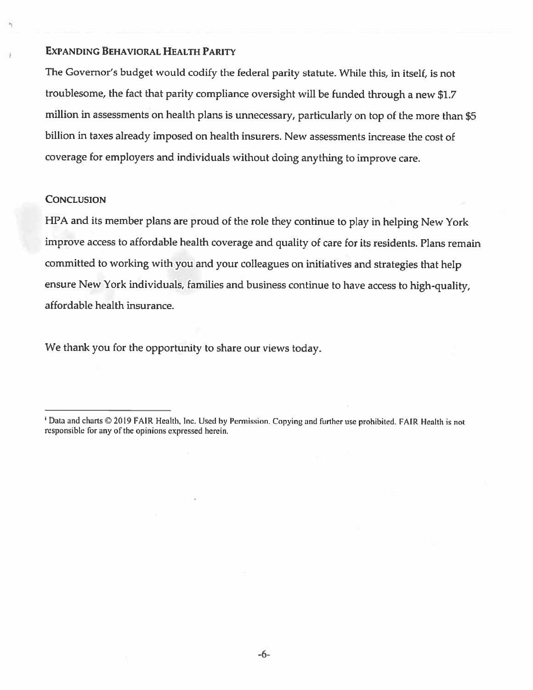### EXPANDING BEHAVIORAL HEALTH PARITY

The Governor's budget would codify the federal parity statute. While this, in itself, is not troublesome, the fact that parity compliance oversight will be funded through <sup>a</sup> new S1.7 million in assessments on health <sup>p</sup>lans is unnecessary, particularly on top of the more than \$5 billion in taxes already imposed on health insurers. New assessments increase the cost of coverage for employers and individuals without doing anything to improve care.

### **CONCLUSION**

HPA and its member <sup>p</sup>lans are proud of the role they continue to <sup>p</sup>lay in helping New York improve access to affordable health coverage and quality of care for its residents. Plans remain committed to working with you and your colleagues on initiatives and strategies that help ensure New York individuals, families and business continue to have access to high-quality, affordable health insurance.

We thank you for the opportunity to share our views today.

Data and charts © 2019 FAIR Health, Inc. Used by Permission. Copying and further use prohibited. FAIR Health is not responsible for any of the opinions expressed herein.